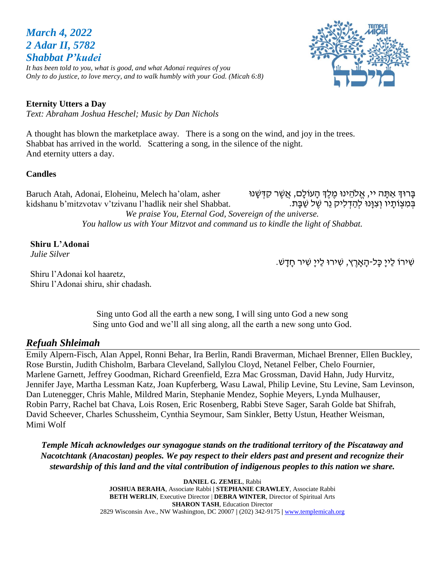## *March 4, 2022 2 Adar II, 5782 Shabbat P'kudei*

*It has been told to you, what is good, and what Adonai requires of you Only to do justice, to love mercy, and to walk humbly with your God. (Micah 6:8)*

**Eternity Utters a Day** *Text: Abraham Joshua Heschel; Music by Dan Nichols*

A thought has blown the marketplace away. There is a song on the wind, and joy in the trees. Shabbat has arrived in the world. Scattering a song, in the silence of the night. And eternity utters a day.

## **Candles**

Baruch Atah, Adonai, Eloheinu, Melech ha'olam, asher kidshanu b'mitzvotav v'tzivanu l'hadlik neir shel Shabbat. בָּרוּדְ אַתָּה יי, אֱלֹהֵינוּ מֵלֵדְ הָעוֹלָם, אֲשֶׁר קִדְּשָּׁנוּ בִּמְצְוֹתֵיו וְצְוָּנוּ לְהַדְלִיק נֵר שֶׁל שַׁבַּת. *We praise You, Eternal God, Sovereign of the universe. You hallow us with Your Mitzvot and command us to kindle the light of Shabbat.*

# **Shiru L'Adonai**

*Julie Silver*

Shiru l'Adonai kol haaretz, Shiru l'Adonai shiru, shir chadash*.*  שִׁ ירֹו לַייָ כָּל-הָאָרֵץ, שִׁירוּ לַייָ שִׁיר חָדָש.

Sing unto God all the earth a new song, I will sing unto God a new song Sing unto God and we'll all sing along, all the earth a new song unto God.

## *Refuah Shleimah*

Emily Alpern-Fisch, Alan Appel, Ronni Behar, Ira Berlin, Randi Braverman, Michael Brenner, Ellen Buckley, Rose Burstin, Judith Chisholm, Barbara Cleveland, Sallylou Cloyd, Netanel Felber, Chelo Fournier, Marlene Garnett, Jeffrey Goodman, Richard Greenfield, Ezra Mac Grossman, David Hahn, Judy Hurvitz, Jennifer Jaye, Martha Lessman Katz, Joan Kupferberg, Wasu Lawal, Philip Levine, Stu Levine, Sam Levinson, Dan Lutenegger, Chris Mahle, Mildred Marin, Stephanie Mendez, Sophie Meyers, Lynda Mulhauser, Robin Parry, Rachel bat Chava, Lois Rosen, Eric Rosenberg, Rabbi Steve Sager, Sarah Golde bat Shifrah, David Scheever, Charles Schussheim, Cynthia Seymour, Sam Sinkler, Betty Ustun, Heather Weisman, Mimi Wolf

*Temple Micah acknowledges our synagogue stands on the traditional territory of the Piscataway and Nacotchtank (Anacostan) peoples. We pay respect to their elders past and present and recognize their stewardship of this land and the vital contribution of indigenous peoples to this nation we share.*

> **DANIEL G. ZEMEL**, Rabbi **JOSHUA BERAHA**, Associate Rabbi **| STEPHANIE CRAWLEY**, Associate Rabbi **BETH WERLIN**, Executive Director | **DEBRA WINTER**, Director of Spiritual Arts **SHARON TASH**, Education Director 2829 Wisconsin Ave., NW Washington, DC 20007 **|** (202) 342-9175 **|** [www.templemicah.org](http://www.templemicah.org/)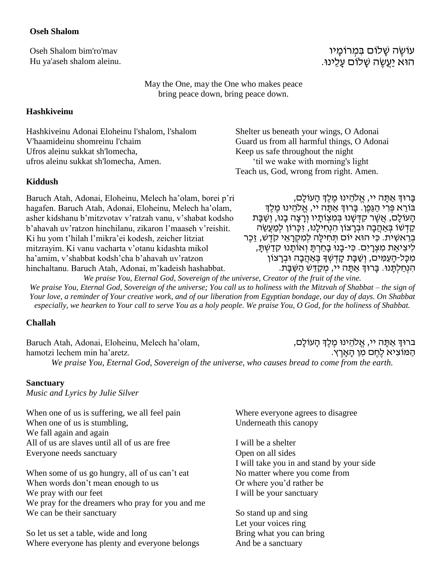## **Oseh Shalom**

Oseh Shalom bim'ro'mav Hu ya'aseh shalom aleinu.

עוֹשֶׂה שָׁלוֹם בִּמְרוֹמָיו הוא יעשה שלום עלינו.

May the One, may the One who makes peace bring peace down, bring peace down.

### **Hashkiveinu**

Hashkiveinu Adonai Eloheinu l'shalom, l'shalom V'haamideinu shomreinu l'chaim Ufros aleinu sukkat sh'lomecha, ufros aleinu sukkat sh'lomecha, Amen.

### **Kiddush**

Baruch Atah, Adonai, Eloheinu, Melech ha'olam, borei p'ri hagafen. Baruch Atah, Adonai, Eloheinu, Melech ha'olam, asher kidshanu b'mitzvotav v'ratzah vanu, v'shabat kodsho b'ahavah uv'ratzon hinchilanu, zikaron l'maaseh v'reishit. Ki hu yom t'hilah l'mikra'ei kodesh, zeicher litziat mitzrayim. Ki vanu vacharta v'otanu kidashta mikol ha'amim, v'shabbat kodsh'cha b'ahavah uv'ratzon hinchaltanu. Baruch Atah, Adonai, m'kadeish hashabbat.

Teach us, God, wrong from right. Amen. Shelter us beneath your wings, O Adonai Guard us from all harmful things, O Adonai Keep us safe throughout the night 'til we wake with morning's light

ָבָּרוּךְ אַתָּה יי, אֱלֹהֶינוּ מֵלֵךְ הַעוֹלָם, בּוֹרָא פּרִי הגִּפְן. בִּרוּךְ אַתָּה יי, אַלהִינוּ מַלִךְ הַעוֹלָם, אֲשֶׁר קִדְּשָׁנוּ בְּמִצְוֹתַיו וְרַצָּה בָנוּ, וְשַׁבָּת ְקַדְשׁוֹ בְּאֲהֲבָה וּבְרַצוֹן הִנְחִילָנוּ, זְכָּרוֹן לִמַעֲשֶׂה בְרֵאשִׁית. כִּי הוּא יוֹם תְּחִילָּה לְמִקְרָאֵי קֹדֶשׁ, זֵכֶר לִיצִיאַת מִצְרַיִם. כִּי-בָנוּ בַחַרְתַּ וְאוֹתֲנוּ קָדַשְׁתַּ, ֹמְכָּל-הָעַמִּים, וְשַׁבָּת קָדְשְׁךָּ בְּאַהֲבָה וּבְרָצוֹן הִ נְּחַ לְּתָּ נּו. בָּרּוְך אַ תָּ ה יי, מְּ קַ דֵ ש הַ שַ בָּ ת.

*We praise You, Eternal God, Sovereign of the universe, Creator of the fruit of the vine. We praise You, Eternal God, Sovereign of the universe; You call us to holiness with the Mitzvah of Shabbat – the sign of Your love, a reminder of Your creative work, and of our liberation from Egyptian bondage, our day of days. On Shabbat especially, we hearken to Your call to serve You as a holy people. We praise You, O God, for the holiness of Shabbat.*

## **Challah**

Baruch Atah, Adonai, Eloheinu, Melech ha'olam, hamotzi lechem min ha'aretz. ָ ברוּךְ אַתָּה יי, אֱלֹהֵינוּ מֶלֶךְ הָעוֹלָם, הַמּוֹצִיא לֶחֶם מְן הָאֲרֶץ. *We praise You, Eternal God, Sovereign of the universe, who causes bread to come from the earth.*

#### **Sanctuary**

*Music and Lyrics by Julie Silver* 

When one of us is suffering, we all feel pain When one of us is stumbling, We fall again and again All of us are slaves until all of us are free Everyone needs sanctuary

When some of us go hungry, all of us can't eat When words don't mean enough to us We pray with our feet We pray for the dreamers who pray for you and me We can be their sanctuary

So let us set a table, wide and long Where everyone has plenty and everyone belongs

Where everyone agrees to disagree Underneath this canopy

I will be a shelter Open on all sides I will take you in and stand by your side No matter where you come from Or where you'd rather be I will be your sanctuary

So stand up and sing Let your voices ring Bring what you can bring And be a sanctuary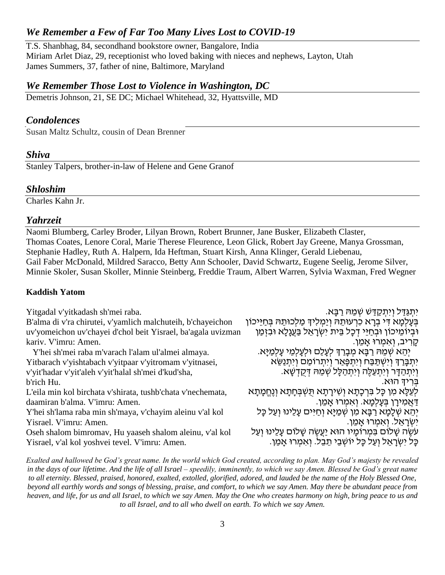## *We Remember a Few of Far Too Many Lives Lost to COVID-19*

T.S. Shanbhag, 84, secondhand bookstore owner, Bangalore, India Miriam Arlet Diaz, 29, receptionist who loved baking with nieces and nephews, Layton, Utah James Summers, 37, father of nine, Baltimore, Maryland

## *We Remember Those Lost to Violence in Washington, DC*

Demetris Johnson, 21, SE DC; Michael Whitehead, 32, Hyattsville, MD

## *Condolences*

Susan Maltz Schultz, cousin of Dean Brenner

## *Shiva*

Stanley Talpers, brother-in-law of Helene and Gene Granof

## *Shloshim*

Charles Kahn Jr.

## *Yahrzeit*

Naomi Blumberg, Carley Broder, Lilyan Brown, Robert Brunner, Jane Busker, Elizabeth Claster, Thomas Coates, Lenore Coral, Marie Therese Fleurence, Leon Glick, Robert Jay Greene, Manya Grossman, Stephanie Hadley, Ruth A. Halpern, Ida Heftman, Stuart Kirsh, Anna Klinger, Gerald Liebenau, Gail Faber McDonald, Mildred Saracco, Betty Ann Schooler, David Schwartz, Eugene Seelig, Jerome Silver, Minnie Skoler, Susan Skoller, Minnie Steinberg, Freddie Traum, Albert Warren, Sylvia Waxman, Fred Wegner

## **Kaddish Yatom**

Yitgadal v'yitkadash sh'mei raba. B'alma di v'ra chirutei, v'yamlich malchuteih, b'chayeichon uv'yomeichon uv'chayei d'chol beit Yisrael, ba'agala uvizman kariv. V'imru: Amen. Y'hei sh'mei raba m'varach l'alam ul'almei almaya. Yitbarach v'yishtabach v'yitpaar v'yitromam v'yitnasei, v'yit'hadar v'yit'aleh v'yit'halal sh'mei d'kud'sha, b'rich Hu. L'eila min kol birchata v'shirata, tushb'chata v'nechemata, daamiran b'alma. V'imru: Amen. Y'hei sh'lama raba min sh'maya, v'chayim aleinu v'al kol Yisrael. V'imru: Amen. Oseh shalom bimromav, Hu yaaseh shalom aleinu, v'al kol Yisrael, v'al kol yoshvei tevel. V'imru: Amen. יִתְּ גַדַ ל וְּ יִתְּ קַ דַ ש שְּ מֵ ּה רַ בָּא. בְּעָלְמָא דִּי בְרָא כִרְעוּתֵהּ וְיַמְלִידְּ מַלְכוּתֵהּ בְּחַיֵּיכוֹן **ּוּבְיוֹמֵיכוֹן וּבְחַיֵּי דְּכַל בֵּית יְשְׂרַאֵל בַּעֲגַלָּא וּבִזְמַן** ַ קַרִיב, וְאִמְרוּ אַמֵן. יְהֵא שְׁמֵהּ רַבָּא מְּבָרַךְ לְעָלַם וּלִעָּלְמֵי עַלִמַיַּא. יִתְבָּרַךְ וְיִשְׁתַּבָּח וְיִתְפָּאַר וְיִתְרוֹמַם וְיִתְנַשֶּׂא וְּ יִתְּ הַ דָּ ר וְּ יִתְּ עַ לֶה וְּ יִתְּ הַ לָּל שְּ מֵ ּה דְּ קֻ דְּ שָּ א. בִּרְיךָ הוּא. לְעֶלֵּא מִן כַּל בִּרְכַתַּא וְשָׁירַתַּא תְּשָׁבְּחַתָּא וְנֶחֲמַתַּא ַ דַּאֲמִירַן בִּעֲלְמָּא. וְאִמְרוּ אָמֵן. יְהֵא שְׁלָמָא רַבָּא מִן שְׁמַיָּא וְחַיִּים עָלֵינוּ וְעַל כַּל יִשְּ רָּ אֵ ל. וְּ אִ מְּ רּו אָּ מֵ ן. עֹשֶׂה שָׁלוֹם בִּמְרוֹמָיו הוּא יַעֲשֵׂה שָׁלוֹם עַלֵינוּ וְעַל ָּכֵּל יִשְׂרָאֵל וְעַל כַּל יוֹשֶׁבֵי תֵבָל. וְאִמְרוּ אֲמֵן.

*Exalted and hallowed be God's great name. In the world which God created, according to plan. May God's majesty be revealed in the days of our lifetime. And the life of all Israel – speedily, imminently, to which we say Amen. Blessed be God's great name to all eternity. Blessed, praised, honored, exalted, extolled, glorified, adored, and lauded be the name of the Holy Blessed One, beyond all earthly words and songs of blessing, praise, and comfort, to which we say Amen. May there be abundant peace from heaven, and life, for us and all Israel, to which we say Amen. May the One who creates harmony on high, bring peace to us and to all Israel, and to all who dwell on earth. To which we say Amen.*